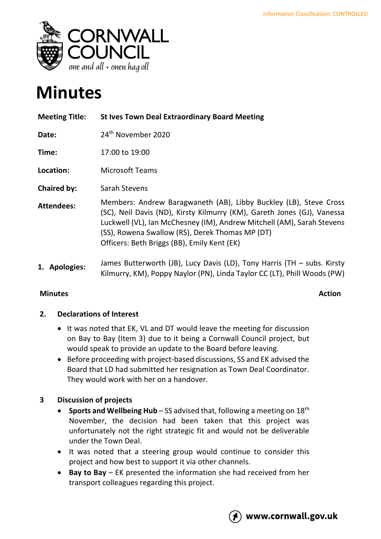

# **Minutes**

| <b>Meeting Title:</b> | <b>St Ives Town Deal Extraordinary Board Meeting</b>                                                                                                                                                                                                                                                                     |
|-----------------------|--------------------------------------------------------------------------------------------------------------------------------------------------------------------------------------------------------------------------------------------------------------------------------------------------------------------------|
| Date:                 | 24 <sup>th</sup> November 2020                                                                                                                                                                                                                                                                                           |
| Time:                 | 17:00 to 19:00                                                                                                                                                                                                                                                                                                           |
| Location:             | <b>Microsoft Teams</b>                                                                                                                                                                                                                                                                                                   |
| <b>Chaired by:</b>    | Sarah Stevens                                                                                                                                                                                                                                                                                                            |
| <b>Attendees:</b>     | Members: Andrew Baragwaneth (AB), Libby Buckley (LB), Steve Cross<br>(SC), Neil Davis (ND), Kirsty Kilmurry (KM), Gareth Jones (GJ), Vanessa<br>Luckwell (VL), Ian McChesney (IM), Andrew Mitchell (AM), Sarah Stevens<br>(SS), Rowena Swallow (RS), Derek Thomas MP (DT)<br>Officers: Beth Briggs (BB), Emily Kent (EK) |
| 1. Apologies:         | James Butterworth (JB), Lucy Davis (LD), Tony Harris (TH - subs. Kirsty<br>Kilmurry, KM), Poppy Naylor (PN), Linda Taylor CC (LT), Phill Woods (PW)                                                                                                                                                                      |

### **Minutes Action**

#### **2. Declarations of Interest**

- It was noted that EK, VL and DT would leave the meeting for discussion on Bay to Bay (Item 3) due to it being a Cornwall Council project, but would speak to provide an update to the Board before leaving.
- Before proceeding with project-based discussions, SS and EK advised the Board that LD had submitted her resignation as Town Deal Coordinator. They would work with her on a handover.

## **3 Discussion of projects**

- **Sports and Wellbeing Hub** SS advised that, following a meeting on 18<sup>th</sup> November, the decision had been taken that this project was unfortunately not the right strategic fit and would not be deliverable under the Town Deal.
- It was noted that a steering group would continue to consider this project and how best to support it via other channels.
- **Bay to Bay** EK presented the information she had received from her transport colleagues regarding this project.

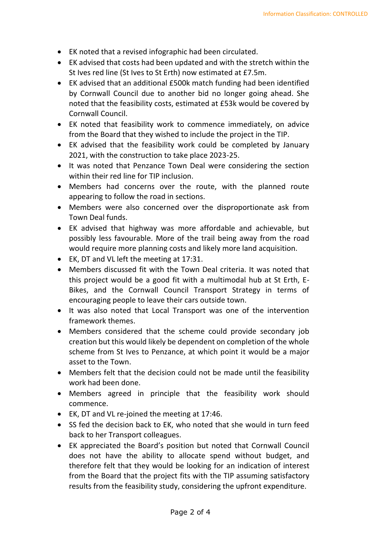- EK noted that a revised infographic had been circulated.
- EK advised that costs had been updated and with the stretch within the St Ives red line (St Ives to St Erth) now estimated at £7.5m.
- EK advised that an additional £500k match funding had been identified by Cornwall Council due to another bid no longer going ahead. She noted that the feasibility costs, estimated at £53k would be covered by Cornwall Council.
- EK noted that feasibility work to commence immediately, on advice from the Board that they wished to include the project in the TIP.
- EK advised that the feasibility work could be completed by January 2021, with the construction to take place 2023-25.
- It was noted that Penzance Town Deal were considering the section within their red line for TIP inclusion.
- Members had concerns over the route, with the planned route appearing to follow the road in sections.
- Members were also concerned over the disproportionate ask from Town Deal funds.
- EK advised that highway was more affordable and achievable, but possibly less favourable. More of the trail being away from the road would require more planning costs and likely more land acquisition.
- EK, DT and VL left the meeting at 17:31.
- Members discussed fit with the Town Deal criteria. It was noted that this project would be a good fit with a multimodal hub at St Erth, E-Bikes, and the Cornwall Council Transport Strategy in terms of encouraging people to leave their cars outside town.
- It was also noted that Local Transport was one of the intervention framework themes.
- Members considered that the scheme could provide secondary job creation but this would likely be dependent on completion of the whole scheme from St Ives to Penzance, at which point it would be a major asset to the Town.
- Members felt that the decision could not be made until the feasibility work had been done.
- Members agreed in principle that the feasibility work should commence.
- EK, DT and VL re-joined the meeting at 17:46.
- SS fed the decision back to EK, who noted that she would in turn feed back to her Transport colleagues.
- EK appreciated the Board's position but noted that Cornwall Council does not have the ability to allocate spend without budget, and therefore felt that they would be looking for an indication of interest from the Board that the project fits with the TIP assuming satisfactory results from the feasibility study, considering the upfront expenditure.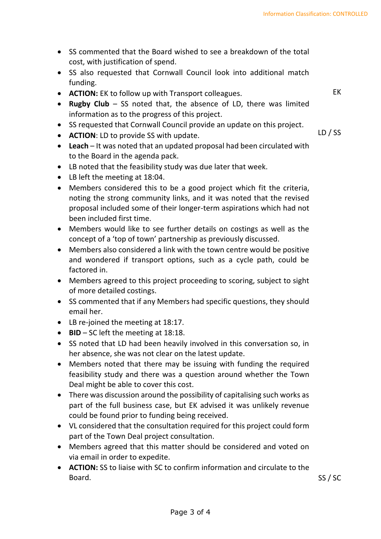- SS commented that the Board wished to see a breakdown of the total cost, with justification of spend.
- SS also requested that Cornwall Council look into additional match funding.
- **ACTION:** EK to follow up with Transport colleagues.
- **Rugby Club** SS noted that, the absence of LD, there was limited information as to the progress of this project.
- SS requested that Cornwall Council provide an update on this project.
- **ACTION**: LD to provide SS with update.

LD / SS

SS / SC

EK

- **Leach**  It was noted that an updated proposal had been circulated with to the Board in the agenda pack.
- LB noted that the feasibility study was due later that week.
- LB left the meeting at 18:04.
- Members considered this to be a good project which fit the criteria, noting the strong community links, and it was noted that the revised proposal included some of their longer-term aspirations which had not been included first time.
- Members would like to see further details on costings as well as the concept of a 'top of town' partnership as previously discussed.
- Members also considered a link with the town centre would be positive and wondered if transport options, such as a cycle path, could be factored in.
- Members agreed to this project proceeding to scoring, subject to sight of more detailed costings.
- SS commented that if any Members had specific questions, they should email her.
- LB re-joined the meeting at 18:17.
- **BID** SC left the meeting at 18:18.
- SS noted that LD had been heavily involved in this conversation so, in her absence, she was not clear on the latest update.
- Members noted that there may be issuing with funding the required feasibility study and there was a question around whether the Town Deal might be able to cover this cost.
- There was discussion around the possibility of capitalising such works as part of the full business case, but EK advised it was unlikely revenue could be found prior to funding being received.
- VL considered that the consultation required for this project could form part of the Town Deal project consultation.
- Members agreed that this matter should be considered and voted on via email in order to expedite.
- **ACTION:** SS to liaise with SC to confirm information and circulate to the Board.